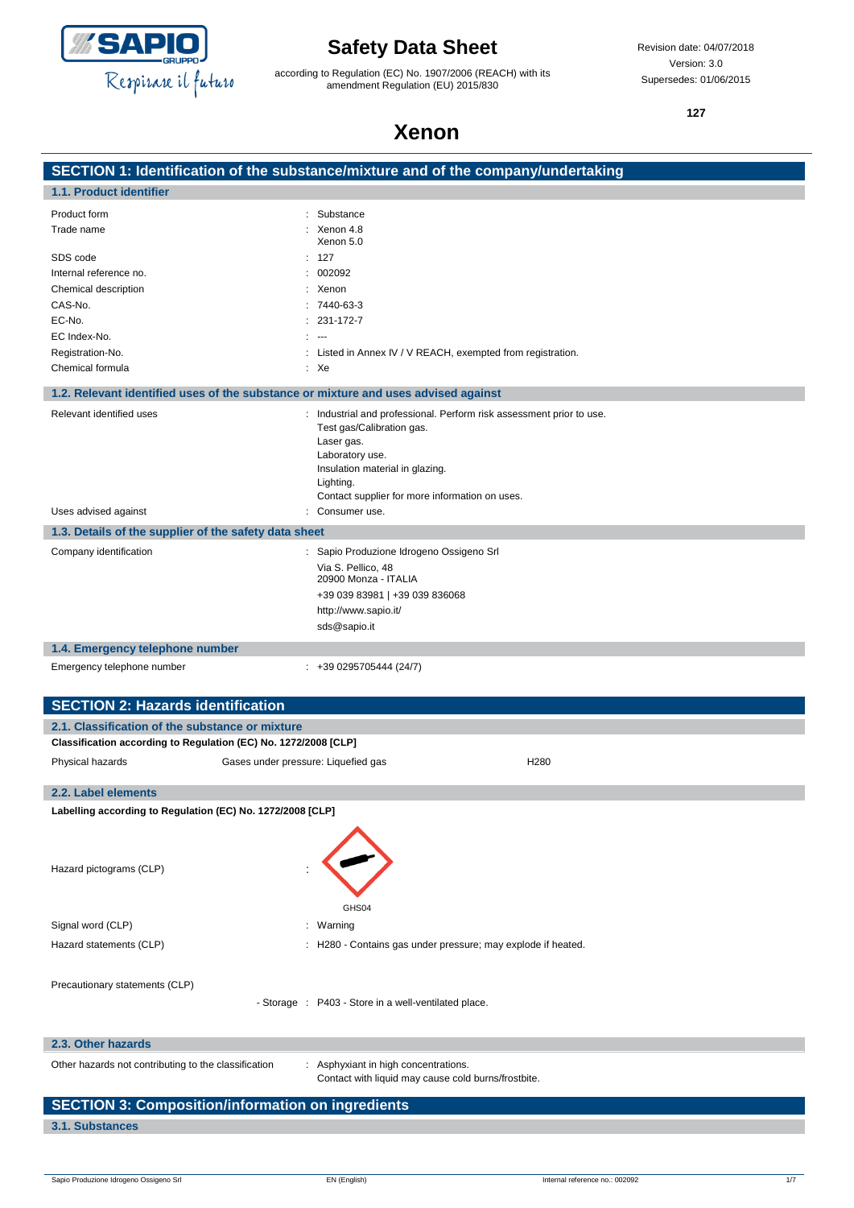

according to Regulation (EC) No. 1907/2006 (REACH) with its amendment Regulation (EU) 2015/830

**127**

# **Xenon**

|                                                                                    | SECTION 1: Identification of the substance/mixture and of the company/undertaking |
|------------------------------------------------------------------------------------|-----------------------------------------------------------------------------------|
| 1.1. Product identifier                                                            |                                                                                   |
| Product form                                                                       | Substance                                                                         |
| Trade name                                                                         | Xenon 4.8                                                                         |
|                                                                                    | Xenon 5.0                                                                         |
| SDS code<br>Internal reference no.                                                 | : 127<br>002092                                                                   |
| Chemical description                                                               | : Xenon                                                                           |
| CAS-No.                                                                            | $: 7440 - 63 - 3$                                                                 |
| EC-No.                                                                             | $: 231 - 172 - 7$                                                                 |
| EC Index-No.                                                                       | $\sim$                                                                            |
| Registration-No.                                                                   | Listed in Annex IV / V REACH, exempted from registration.                         |
| Chemical formula                                                                   | : Xe                                                                              |
| 1.2. Relevant identified uses of the substance or mixture and uses advised against |                                                                                   |
| Relevant identified uses                                                           | : Industrial and professional. Perform risk assessment prior to use.              |
|                                                                                    | Test gas/Calibration gas.                                                         |
|                                                                                    | Laser gas.<br>Laboratory use.                                                     |
|                                                                                    | Insulation material in glazing.                                                   |
|                                                                                    | Lighting.                                                                         |
|                                                                                    | Contact supplier for more information on uses.                                    |
| Uses advised against                                                               | Consumer use.                                                                     |
| 1.3. Details of the supplier of the safety data sheet                              |                                                                                   |
| Company identification                                                             | : Sapio Produzione Idrogeno Ossigeno Srl                                          |
|                                                                                    | Via S. Pellico, 48<br>20900 Monza - ITALIA                                        |
|                                                                                    | +39 039 83981   +39 039 836068                                                    |
|                                                                                    | http://www.sapio.it/                                                              |
|                                                                                    | sds@sapio.it                                                                      |
| 1.4. Emergency telephone number                                                    |                                                                                   |
| Emergency telephone number                                                         | $: +390295705444(24/7)$                                                           |
|                                                                                    |                                                                                   |
| <b>SECTION 2: Hazards identification</b>                                           |                                                                                   |
| 2.1. Classification of the substance or mixture                                    |                                                                                   |
| Classification according to Regulation (EC) No. 1272/2008 [CLP]                    |                                                                                   |
| Physical hazards<br>Gases under pressure: Liquefied gas                            | H <sub>280</sub>                                                                  |
|                                                                                    |                                                                                   |
| 2.2. Label elements                                                                |                                                                                   |
| Labelling according to Regulation (EC) No. 1272/2008 [CLP]                         |                                                                                   |
|                                                                                    |                                                                                   |
|                                                                                    |                                                                                   |
| Hazard pictograms (CLP)                                                            |                                                                                   |
|                                                                                    |                                                                                   |
|                                                                                    | GHS04                                                                             |
| Signal word (CLP)                                                                  | : Warning                                                                         |
| Hazard statements (CLP)                                                            | : H280 - Contains gas under pressure; may explode if heated.                      |
|                                                                                    |                                                                                   |
| Precautionary statements (CLP)                                                     |                                                                                   |
|                                                                                    | - Storage : P403 - Store in a well-ventilated place.                              |
|                                                                                    |                                                                                   |
| 2.3. Other hazards                                                                 |                                                                                   |
| Other hazards not contributing to the classification                               | : Asphyxiant in high concentrations.                                              |
|                                                                                    | Contact with liquid may cause cold burns/frostbite.                               |
| <b>SECTION 3: Composition/information on ingredients</b>                           |                                                                                   |
| 3.1. Substances                                                                    |                                                                                   |
|                                                                                    |                                                                                   |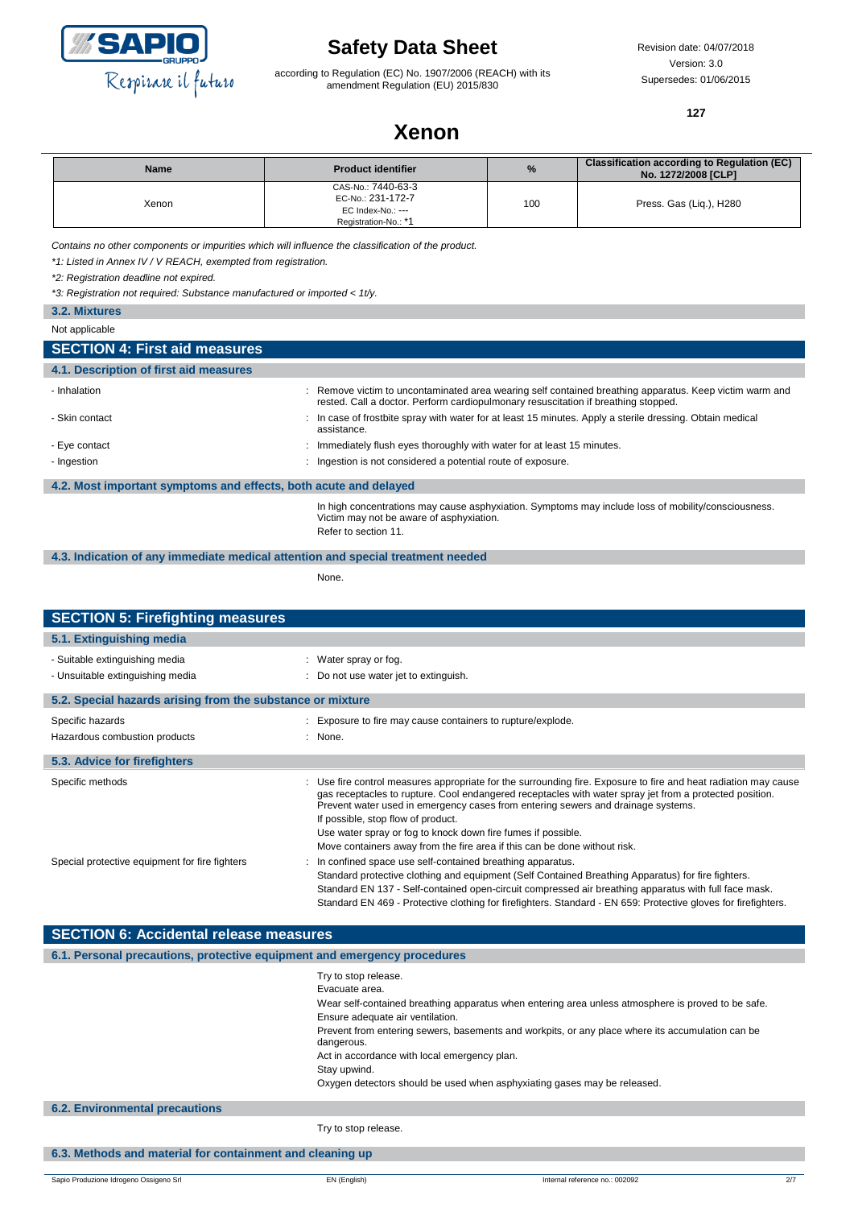

according to Regulation (EC) No. 1907/2006 (REACH) with its amendment Regulation (EU) 2015/830

Revision date: 04/07/2018 Version: 3.0 Supersedes: 01/06/2015

**127**

# **Xenon**

| <b>Name</b> | <b>Product identifier</b>                                                            | %   | <b>Classification according to Regulation (EC)</b><br>No. 1272/2008 [CLP] |
|-------------|--------------------------------------------------------------------------------------|-----|---------------------------------------------------------------------------|
| Xenon       | CAS-No.: 7440-63-3<br>EC-No.: 231-172-7<br>EC Index-No.: ---<br>Registration-No.: *1 | 100 | Press. Gas (Lig.), H280                                                   |

*Contains no other components or impurities which will influence the classification of the product.*

*\*1: Listed in Annex IV / V REACH, exempted from registration.*

*\*2: Registration deadline not expired.*

*\*3: Registration not required: Substance manufactured or imported < 1t/y.*

| 3.2. Mixtures                                                    |                                                                                                                                                                                               |
|------------------------------------------------------------------|-----------------------------------------------------------------------------------------------------------------------------------------------------------------------------------------------|
| Not applicable                                                   |                                                                                                                                                                                               |
| <b>SECTION 4: First aid measures</b>                             |                                                                                                                                                                                               |
| 4.1. Description of first aid measures                           |                                                                                                                                                                                               |
| - Inhalation                                                     | : Remove victim to uncontaminated area wearing self contained breathing apparatus. Keep victim warm and<br>rested. Call a doctor. Perform cardiopulmonary resuscitation if breathing stopped. |
| - Skin contact                                                   | : In case of frostbite spray with water for at least 15 minutes. Apply a sterile dressing. Obtain medical<br>assistance.                                                                      |
| - Eye contact                                                    | : Immediately flush eyes thoroughly with water for at least 15 minutes.                                                                                                                       |
| - Ingestion                                                      | : Ingestion is not considered a potential route of exposure.                                                                                                                                  |
| 4.2. Most important symptoms and effects, both acute and delayed |                                                                                                                                                                                               |
|                                                                  | In high concentrations may cause asphyxiation. Symptoms may include loss of mobility/consciousness.                                                                                           |

In high concentrations may cause asphyxiation. Symptoms may include loss of mobility/consciousness. Victim may not be aware of asphyxiation. Refer to section 11.

#### **4.3. Indication of any immediate medical attention and special treatment needed**

None.

| <b>SECTION 5: Firefighting measures</b>                            |                                                                                                                                                                                                                                                                                                                                                                                                                                                                                                   |  |  |  |
|--------------------------------------------------------------------|---------------------------------------------------------------------------------------------------------------------------------------------------------------------------------------------------------------------------------------------------------------------------------------------------------------------------------------------------------------------------------------------------------------------------------------------------------------------------------------------------|--|--|--|
| 5.1. Extinguishing media                                           |                                                                                                                                                                                                                                                                                                                                                                                                                                                                                                   |  |  |  |
| - Suitable extinguishing media<br>- Unsuitable extinguishing media | : Water spray or fog.<br>: Do not use water jet to extinguish.                                                                                                                                                                                                                                                                                                                                                                                                                                    |  |  |  |
| 5.2. Special hazards arising from the substance or mixture         |                                                                                                                                                                                                                                                                                                                                                                                                                                                                                                   |  |  |  |
| Specific hazards<br>Hazardous combustion products                  | : Exposure to fire may cause containers to rupture/explode.<br>: None.                                                                                                                                                                                                                                                                                                                                                                                                                            |  |  |  |
| 5.3. Advice for firefighters                                       |                                                                                                                                                                                                                                                                                                                                                                                                                                                                                                   |  |  |  |
| Specific methods                                                   | : Use fire control measures appropriate for the surrounding fire. Exposure to fire and heat radiation may cause<br>gas receptacles to rupture. Cool endangered receptacles with water spray jet from a protected position.<br>Prevent water used in emergency cases from entering sewers and drainage systems.<br>If possible, stop flow of product.<br>Use water spray or fog to knock down fire fumes if possible.<br>Move containers away from the fire area if this can be done without risk. |  |  |  |
| Special protective equipment for fire fighters                     | In confined space use self-contained breathing apparatus.<br>Standard protective clothing and equipment (Self Contained Breathing Apparatus) for fire fighters.<br>Standard EN 137 - Self-contained open-circuit compressed air breathing apparatus with full face mask.<br>Standard EN 469 - Protective clothing for firefighters. Standard - EN 659: Protective gloves for firefighters.                                                                                                        |  |  |  |

| <b>SECTION 6: Accidental release measures</b>                            |                                                                                                                |  |
|--------------------------------------------------------------------------|----------------------------------------------------------------------------------------------------------------|--|
| 6.1. Personal precautions, protective equipment and emergency procedures |                                                                                                                |  |
|                                                                          | Try to stop release.                                                                                           |  |
|                                                                          | Evacuate area.                                                                                                 |  |
|                                                                          | Wear self-contained breathing apparatus when entering area unless atmosphere is proved to be safe.             |  |
|                                                                          | Ensure adequate air ventilation.                                                                               |  |
|                                                                          | Prevent from entering sewers, basements and workpits, or any place where its accumulation can be<br>dangerous. |  |
|                                                                          | Act in accordance with local emergency plan.                                                                   |  |
|                                                                          | Stay upwind.                                                                                                   |  |
|                                                                          | Oxygen detectors should be used when asphyxiating gases may be released.                                       |  |
| <b>6.2. Environmental precautions</b>                                    |                                                                                                                |  |
|                                                                          | Try to stop release.                                                                                           |  |
| 6.3. Methods and material for containment and cleaning up                |                                                                                                                |  |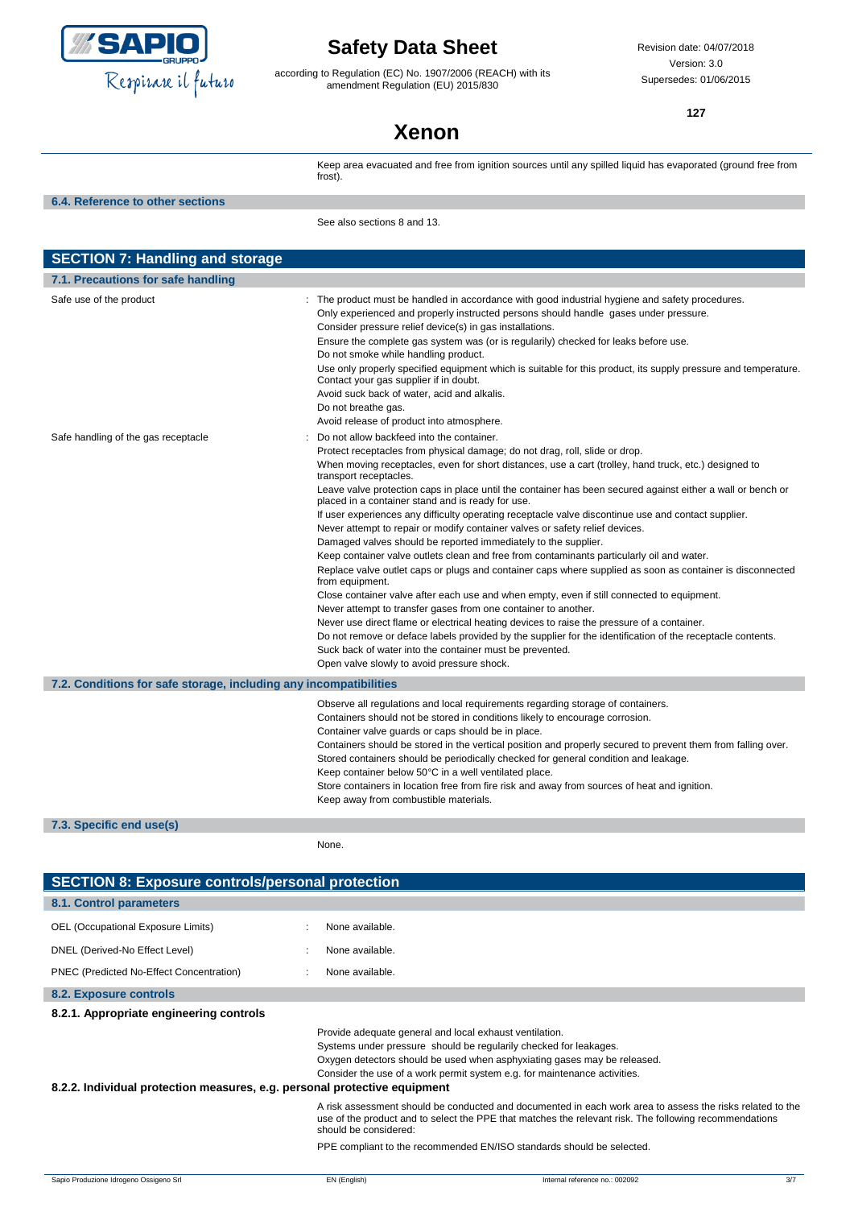

according to Regulation (EC) No. 1907/2006 (REACH) with its amendment Regulation (EU) 2015/830

Revision date: 04/07/2018 Version: 3.0 Supersedes: 01/06/2015

**127**

# **Xenon**

Keep area evacuated and free from ignition sources until any spilled liquid has evaporated (ground free from frost) **6.4. Reference to other sections** See also sections 8 and 13. **SECTION 7: Handling and storage 7.1. Precautions for safe handling** Safe use of the product state of the product must be handled in accordance with good industrial hygiene and safety procedures. Only experienced and properly instructed persons should handle gases under pressure. Consider pressure relief device(s) in gas installations. Ensure the complete gas system was (or is regularily) checked for leaks before use. Do not smoke while handling product. Use only properly specified equipment which is suitable for this product, its supply pressure and temperature. Contact your gas supplier if in doubt. Avoid suck back of water, acid and alkalis. Do not breathe gas. Avoid release of product into atmosphere. Safe handling of the gas receptacle : Do not allow backfeed into the container. Protect receptacles from physical damage; do not drag, roll, slide or drop. When moving receptacles, even for short distances, use a cart (trolley, hand truck, etc.) designed to transport receptacles. Leave valve protection caps in place until the container has been secured against either a wall or bench or placed in a container stand and is ready for use. If user experiences any difficulty operating receptacle valve discontinue use and contact supplier. Never attempt to repair or modify container valves or safety relief devices. Damaged valves should be reported immediately to the supplier. Keep container valve outlets clean and free from contaminants particularly oil and water. Replace valve outlet caps or plugs and container caps where supplied as soon as container is disconnected from equipment. Close container valve after each use and when empty, even if still connected to equipment. Never attempt to transfer gases from one container to another. Never use direct flame or electrical heating devices to raise the pressure of a container. Do not remove or deface labels provided by the supplier for the identification of the receptacle contents. Suck back of water into the container must be prevented. Open valve slowly to avoid pressure shock. **7.2. Conditions for safe storage, including any incompatibilities** Observe all regulations and local requirements regarding storage of containers. Containers should not be stored in conditions likely to encourage corrosion. Container valve guards or caps should be in place. Containers should be stored in the vertical position and properly secured to prevent them from falling over. Stored containers should be periodically checked for general condition and leakage. Keep container below 50°C in a well ventilated place. Store containers in location free from fire risk and away from sources of heat and ignition. Keep away from combustible materials. **7.3. Specific end use(s)**

None.

| <b>SECTION 8: Exposure controls/personal protection</b>                   |                                                                                                                                                                                                                                                                                       |  |
|---------------------------------------------------------------------------|---------------------------------------------------------------------------------------------------------------------------------------------------------------------------------------------------------------------------------------------------------------------------------------|--|
| 8.1. Control parameters                                                   |                                                                                                                                                                                                                                                                                       |  |
| OEL (Occupational Exposure Limits)                                        | None available.                                                                                                                                                                                                                                                                       |  |
| DNEL (Derived-No Effect Level)                                            | None available.                                                                                                                                                                                                                                                                       |  |
| PNEC (Predicted No-Effect Concentration)                                  | None available.                                                                                                                                                                                                                                                                       |  |
| 8.2. Exposure controls                                                    |                                                                                                                                                                                                                                                                                       |  |
| 8.2.1. Appropriate engineering controls                                   |                                                                                                                                                                                                                                                                                       |  |
| 8.2.2. Individual protection measures, e.g. personal protective equipment | Provide adequate general and local exhaust ventilation.<br>Systems under pressure should be regularily checked for leakages.<br>Oxygen detectors should be used when asphyxiating gases may be released.<br>Consider the use of a work permit system e.g. for maintenance activities. |  |
|                                                                           | A risk assessment should be conducted and documented in each work area to assess the risks related to the<br>use of the product and to select the PPE that matches the relevant risk. The following recommendations<br>should be considered:                                          |  |
|                                                                           | PPE compliant to the recommended EN/ISO standards should be selected.                                                                                                                                                                                                                 |  |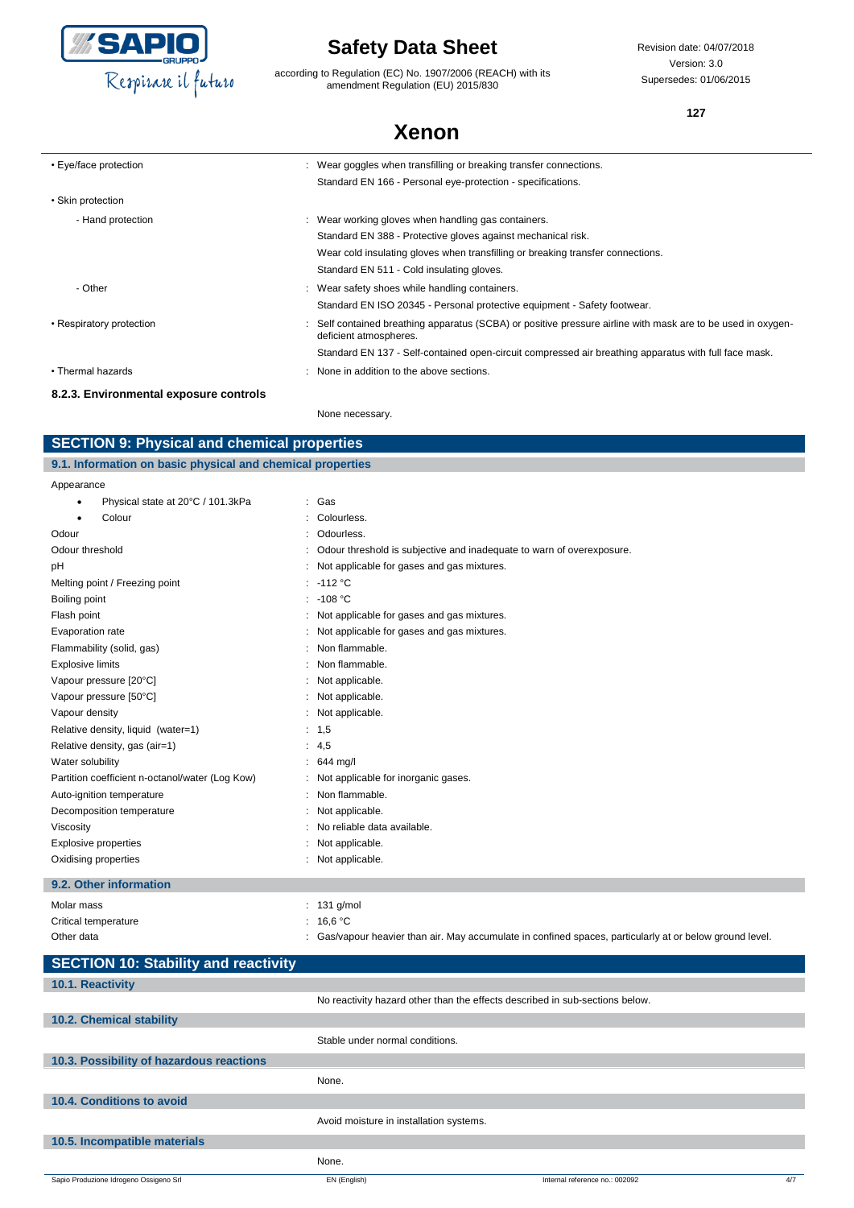

according to Regulation (EC) No. 1907/2006 (REACH) with its amendment Regulation (EU) 2015/830

Revision date: 04/07/2018 Version: 3.0 Supersedes: 01/06/2015

**127**

## **Xenon**

| • Eye/face protection                  | : Wear goggles when transfilling or breaking transfer connections.                                                                   |
|----------------------------------------|--------------------------------------------------------------------------------------------------------------------------------------|
|                                        | Standard EN 166 - Personal eye-protection - specifications.                                                                          |
| • Skin protection                      |                                                                                                                                      |
| - Hand protection                      | : Wear working gloves when handling gas containers.                                                                                  |
|                                        | Standard EN 388 - Protective gloves against mechanical risk.                                                                         |
|                                        | Wear cold insulating gloves when transfilling or breaking transfer connections.                                                      |
|                                        | Standard EN 511 - Cold insulating gloves.                                                                                            |
| - Other                                | : Wear safety shoes while handling containers.                                                                                       |
|                                        | Standard EN ISO 20345 - Personal protective equipment - Safety footwear.                                                             |
| • Respiratory protection               | Self contained breathing apparatus (SCBA) or positive pressure airline with mask are to be used in oxygen-<br>deficient atmospheres. |
|                                        | Standard EN 137 - Self-contained open-circuit compressed air breathing apparatus with full face mask.                                |
| • Thermal hazards                      | : None in addition to the above sections.                                                                                            |
| 8.2.3. Environmental exposure controls |                                                                                                                                      |

None necessary.

### **SECTION 9: Physical and chemical properties**

### **9.1. Information on basic physical and chemical properties**

| Appearance                                      |                                                                       |
|-------------------------------------------------|-----------------------------------------------------------------------|
| Physical state at 20°C / 101.3kPa               | : Gas                                                                 |
| Colour                                          | Colourless.                                                           |
| Odour                                           | Odourless.                                                            |
| Odour threshold                                 | Odour threshold is subjective and inadequate to warn of overexposure. |
| рH                                              | Not applicable for gases and gas mixtures.                            |
| Melting point / Freezing point                  | : $-112 °C$                                                           |
| Boiling point                                   | $: -108 °C$                                                           |
| Flash point                                     | : Not applicable for gases and gas mixtures.                          |
| Evaporation rate                                | : Not applicable for gases and gas mixtures.                          |
| Flammability (solid, gas)                       | Non flammable.                                                        |
| <b>Explosive limits</b>                         | Non flammable.                                                        |
| Vapour pressure [20°C]                          | Not applicable.                                                       |
| Vapour pressure [50°C]                          | Not applicable.                                                       |
| Vapour density                                  | : Not applicable.                                                     |
| Relative density, liquid (water=1)              | : 1, 5                                                                |
| Relative density, gas (air=1)                   | : $4,5$                                                               |
| Water solubility                                | $: 644$ mg/l                                                          |
| Partition coefficient n-octanol/water (Log Kow) | : Not applicable for inorganic gases.                                 |
| Auto-ignition temperature                       | : Non flammable.                                                      |
| Decomposition temperature                       | Not applicable.                                                       |
| Viscosity                                       | No reliable data available.                                           |
| Explosive properties                            | Not applicable.                                                       |
| Oxidising properties                            | Not applicable.                                                       |
| 9.2. Other information                          |                                                                       |

### Molar mass : 131 g/mol Critical temperature : 16,6 °C Other data **included in the symbol confinent of the C**as/vapour heavier than air. May accumulate in confined spaces, particularly at or below ground level.

| <b>SECTION 10: Stability and reactivity</b> |                                         |                                                                              |     |
|---------------------------------------------|-----------------------------------------|------------------------------------------------------------------------------|-----|
| 10.1. Reactivity                            |                                         |                                                                              |     |
|                                             |                                         | No reactivity hazard other than the effects described in sub-sections below. |     |
| 10.2. Chemical stability                    |                                         |                                                                              |     |
|                                             | Stable under normal conditions.         |                                                                              |     |
| 10.3. Possibility of hazardous reactions    |                                         |                                                                              |     |
|                                             | None.                                   |                                                                              |     |
| 10.4. Conditions to avoid                   |                                         |                                                                              |     |
|                                             | Avoid moisture in installation systems. |                                                                              |     |
| 10.5. Incompatible materials                |                                         |                                                                              |     |
|                                             | None.                                   |                                                                              |     |
| Sapio Produzione Idrogeno Ossigeno Srl      | EN (English)                            | Internal reference no.: 002092                                               | 4/7 |
|                                             |                                         |                                                                              |     |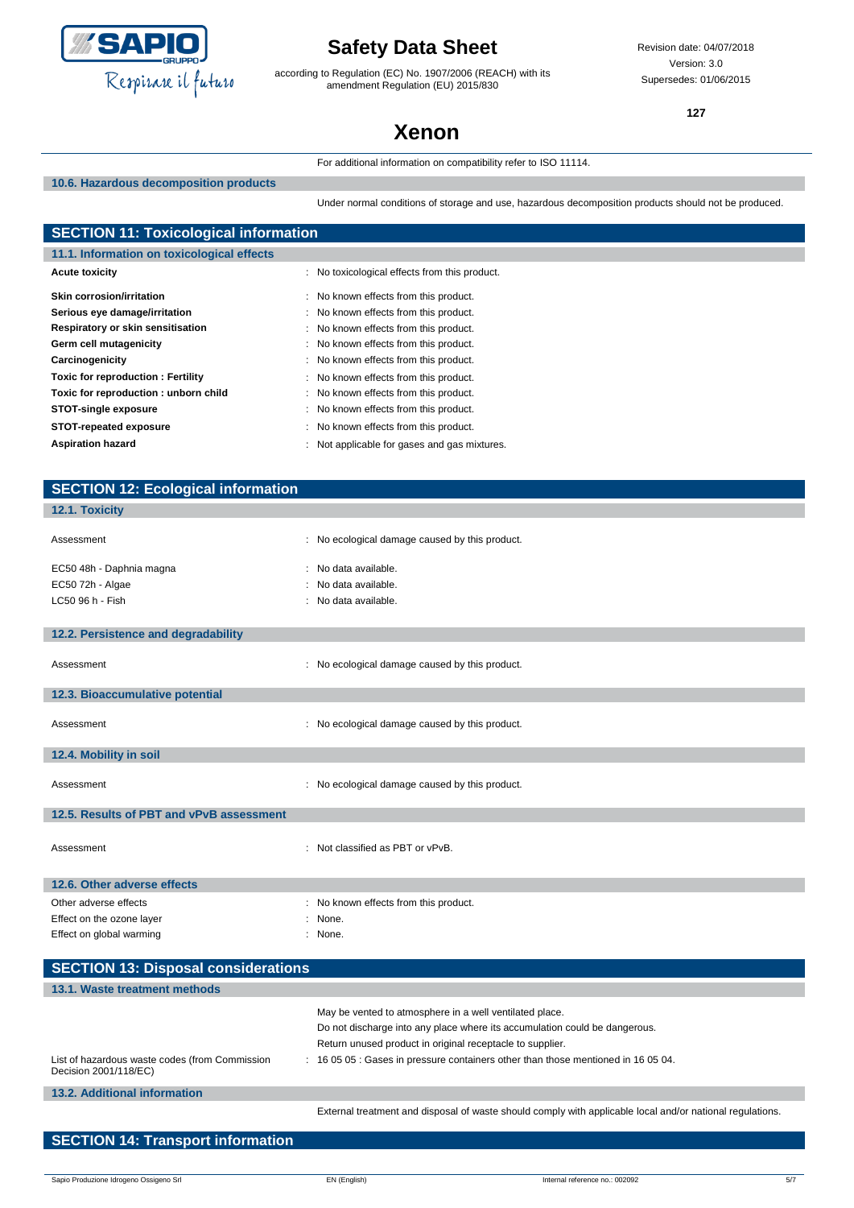

according to Regulation (EC) No. 1907/2006 (REACH) with its amendment Regulation (EU) 2015/830

Revision date: 04/07/2018 Version: 3.0 Supersedes: 01/06/2015

**127**

# **Xenon**

For additional information on compatibility refer to ISO 11114.

**10.6. Hazardous decomposition products**

Under normal conditions of storage and use, hazardous decomposition products should not be produced.

| <b>SECTION 11: Toxicological information</b> |                                               |  |
|----------------------------------------------|-----------------------------------------------|--|
| 11.1. Information on toxicological effects   |                                               |  |
| <b>Acute toxicity</b>                        | : No toxicological effects from this product. |  |
| Skin corrosion/irritation                    | : No known effects from this product.         |  |
| Serious eye damage/irritation                | : No known effects from this product.         |  |
| Respiratory or skin sensitisation            | : No known effects from this product.         |  |
| Germ cell mutagenicity                       | : No known effects from this product.         |  |
| Carcinogenicity                              | : No known effects from this product.         |  |
| Toxic for reproduction: Fertility            | : No known effects from this product.         |  |
| Toxic for reproduction: unborn child         | : No known effects from this product.         |  |
| <b>STOT-single exposure</b>                  | : No known effects from this product.         |  |
| STOT-repeated exposure                       | : No known effects from this product.         |  |
| <b>Aspiration hazard</b>                     | : Not applicable for gases and gas mixtures.  |  |

| <b>SECTION 12: Ecological information</b>                               |                                                                                                           |
|-------------------------------------------------------------------------|-----------------------------------------------------------------------------------------------------------|
| 12.1. Toxicity                                                          |                                                                                                           |
|                                                                         |                                                                                                           |
| Assessment                                                              | : No ecological damage caused by this product.                                                            |
| EC50 48h - Daphnia magna                                                | : No data available.                                                                                      |
| EC50 72h - Algae                                                        | No data available.                                                                                        |
| LC50 96 h - Fish                                                        | : No data available.                                                                                      |
| 12.2. Persistence and degradability                                     |                                                                                                           |
|                                                                         |                                                                                                           |
| Assessment                                                              | : No ecological damage caused by this product.                                                            |
| 12.3. Bioaccumulative potential                                         |                                                                                                           |
| Assessment                                                              | : No ecological damage caused by this product.                                                            |
|                                                                         |                                                                                                           |
| 12.4. Mobility in soil                                                  |                                                                                                           |
| Assessment                                                              | : No ecological damage caused by this product.                                                            |
| 12.5. Results of PBT and vPvB assessment                                |                                                                                                           |
|                                                                         |                                                                                                           |
| Assessment                                                              | : Not classified as PBT or vPvB.                                                                          |
|                                                                         |                                                                                                           |
| 12.6. Other adverse effects                                             |                                                                                                           |
| Other adverse effects                                                   | : No known effects from this product.                                                                     |
| Effect on the ozone layer                                               | : None.                                                                                                   |
| Effect on global warming                                                | : None.                                                                                                   |
| <b>SECTION 13: Disposal considerations</b>                              |                                                                                                           |
| 13.1. Waste treatment methods                                           |                                                                                                           |
|                                                                         | May be vented to atmosphere in a well ventilated place.                                                   |
|                                                                         | Do not discharge into any place where its accumulation could be dangerous.                                |
|                                                                         | Return unused product in original receptacle to supplier.                                                 |
| List of hazardous waste codes (from Commission<br>Decision 2001/118/EC) | : 16 05 05 : Gases in pressure containers other than those mentioned in 16 05 04.                         |
| 13.2. Additional information                                            |                                                                                                           |
|                                                                         | External treatment and disposal of waste should comply with applicable local and/or national regulations. |

**SECTION 14: Transport information**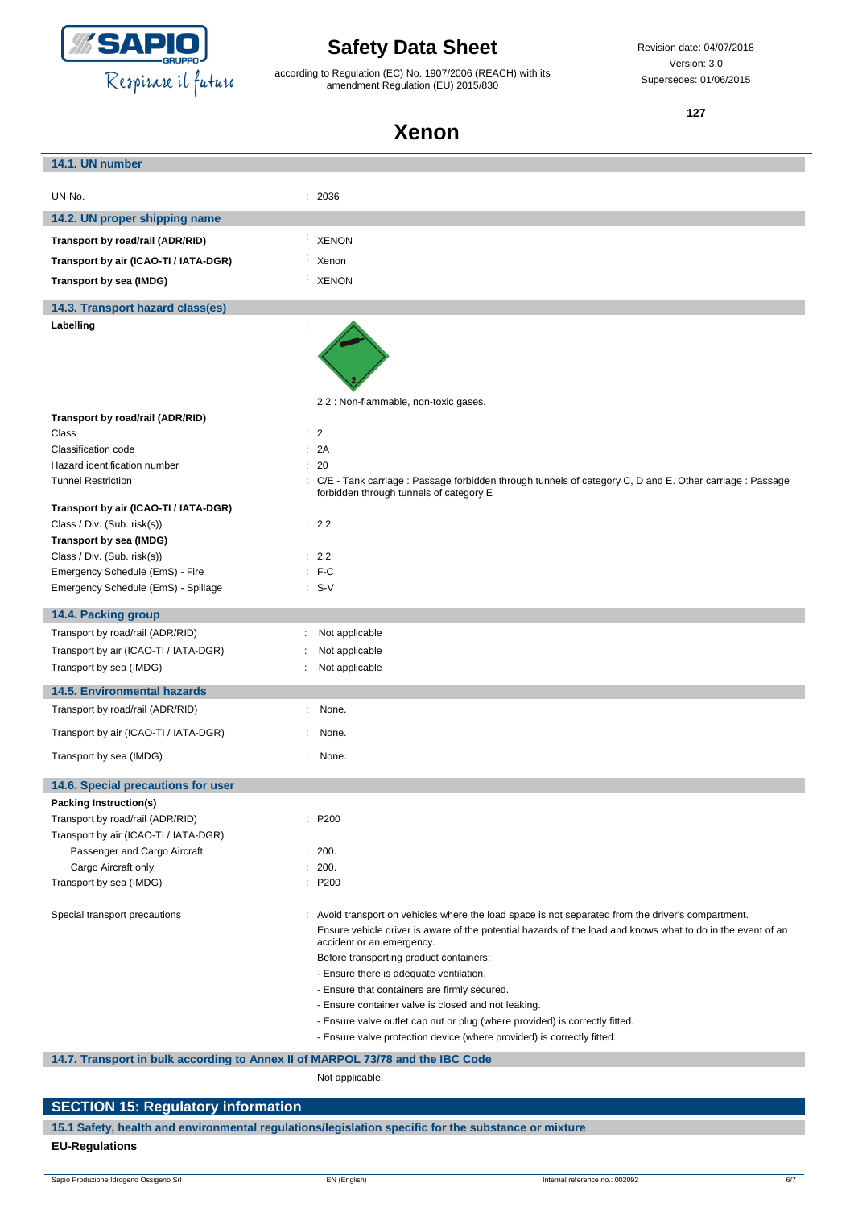

according to Regulation (EC) No. 1907/2006 (REACH) with its amendment Regulation (EU) 2015/830

Revision date: 04/07/2018 Version: 3.0 Supersedes: 01/06/2015

**127**

### **Xenon**

| 14.1. UN number                                                                |                                                                                                                                                       |
|--------------------------------------------------------------------------------|-------------------------------------------------------------------------------------------------------------------------------------------------------|
|                                                                                |                                                                                                                                                       |
| UN-No.                                                                         | : 2036                                                                                                                                                |
| 14.2. UN proper shipping name                                                  |                                                                                                                                                       |
| Transport by road/rail (ADR/RID)                                               | <b>XENON</b>                                                                                                                                          |
| Transport by air (ICAO-TI / IATA-DGR)                                          | Xenon                                                                                                                                                 |
| Transport by sea (IMDG)                                                        | <b>XENON</b>                                                                                                                                          |
|                                                                                |                                                                                                                                                       |
| 14.3. Transport hazard class(es)                                               |                                                                                                                                                       |
| Labelling                                                                      |                                                                                                                                                       |
|                                                                                |                                                                                                                                                       |
|                                                                                |                                                                                                                                                       |
|                                                                                | 2.2 : Non-flammable, non-toxic gases.                                                                                                                 |
| Transport by road/rail (ADR/RID)                                               |                                                                                                                                                       |
| Class                                                                          | $\therefore$ 2                                                                                                                                        |
| Classification code                                                            | 2A                                                                                                                                                    |
| Hazard identification number                                                   | : 20                                                                                                                                                  |
| <b>Tunnel Restriction</b>                                                      | : C/E - Tank carriage : Passage forbidden through tunnels of category C, D and E. Other carriage : Passage<br>forbidden through tunnels of category E |
| Transport by air (ICAO-TI / IATA-DGR)                                          |                                                                                                                                                       |
| Class / Div. (Sub. risk(s))                                                    | : 2.2                                                                                                                                                 |
| Transport by sea (IMDG)                                                        |                                                                                                                                                       |
| Class / Div. (Sub. risk(s))                                                    | : 2.2                                                                                                                                                 |
| Emergency Schedule (EmS) - Fire                                                | $:$ F-C                                                                                                                                               |
| Emergency Schedule (EmS) - Spillage                                            | $: S-V$                                                                                                                                               |
| 14.4. Packing group                                                            |                                                                                                                                                       |
| Transport by road/rail (ADR/RID)                                               | Not applicable<br>t.                                                                                                                                  |
| Transport by air (ICAO-TI / IATA-DGR)                                          | Not applicable                                                                                                                                        |
| Transport by sea (IMDG)                                                        | Not applicable                                                                                                                                        |
| <b>14.5. Environmental hazards</b>                                             |                                                                                                                                                       |
| Transport by road/rail (ADR/RID)                                               | None.<br>÷                                                                                                                                            |
| Transport by air (ICAO-TI / IATA-DGR)                                          | None.                                                                                                                                                 |
| Transport by sea (IMDG)                                                        | None.                                                                                                                                                 |
| 14.6. Special precautions for user                                             |                                                                                                                                                       |
| Packing Instruction(s)                                                         |                                                                                                                                                       |
| Transport by road/rail (ADR/RID)                                               | : P200                                                                                                                                                |
| Transport by air (ICAO-TI / IATA-DGR)                                          |                                                                                                                                                       |
| Passenger and Cargo Aircraft                                                   | : 200.                                                                                                                                                |
| Cargo Aircraft only                                                            | 200.                                                                                                                                                  |
| Transport by sea (IMDG)                                                        | : P200                                                                                                                                                |
| Special transport precautions                                                  | : Avoid transport on vehicles where the load space is not separated from the driver's compartment.                                                    |
|                                                                                | Ensure vehicle driver is aware of the potential hazards of the load and knows what to do in the event of an<br>accident or an emergency.              |
|                                                                                | Before transporting product containers:                                                                                                               |
|                                                                                | - Ensure there is adequate ventilation.                                                                                                               |
|                                                                                | - Ensure that containers are firmly secured.                                                                                                          |
|                                                                                | - Ensure container valve is closed and not leaking.                                                                                                   |
|                                                                                | - Ensure valve outlet cap nut or plug (where provided) is correctly fitted.                                                                           |
|                                                                                | - Ensure valve protection device (where provided) is correctly fitted.                                                                                |
| 14.7. Transport in bulk according to Annex II of MARPOL 73/78 and the IBC Code |                                                                                                                                                       |
|                                                                                | Not applicable.                                                                                                                                       |
|                                                                                |                                                                                                                                                       |
| <b>SECTION 15: Regulatory information</b>                                      |                                                                                                                                                       |

**15.1 Safety, health and environmental regulations/legislation specific for the substance or mixture**